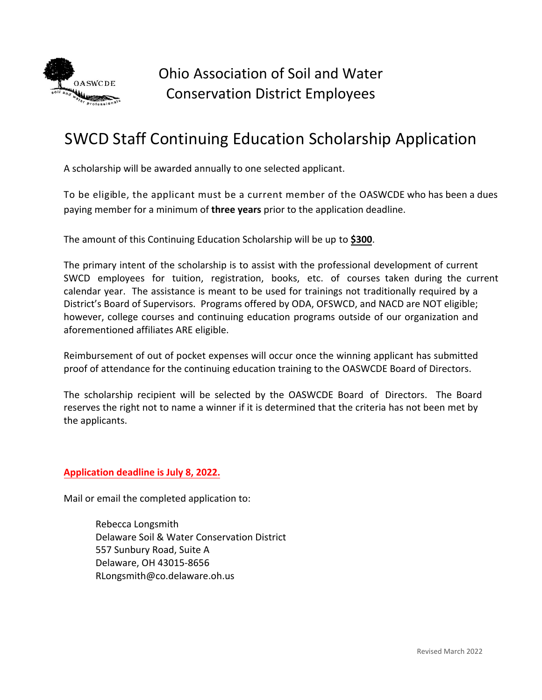

## SWCD Staff Continuing Education Scholarship Application

A scholarship will be awarded annually to one selected applicant.

To be eligible, the applicant must be a current member of the OASWCDE who has been a dues paying member for a minimum of **three years** prior to the application deadline.

The amount of this Continuing Education Scholarship will be up to **\$300**.

The primary intent of the scholarship is to assist with the professional development of current SWCD employees for tuition, registration, books, etc. of courses taken during the current calendar year. The assistance is meant to be used for trainings not traditionally required by a District's Board of Supervisors. Programs offered by ODA, OFSWCD, and NACD are NOT eligible; however, college courses and continuing education programs outside of our organization and aforementioned affiliates ARE eligible.

Reimbursement of out of pocket expenses will occur once the winning applicant has submitted proof of attendance for the continuing education training to the OASWCDE Board of Directors.

The scholarship recipient will be selected by the OASWCDE Board of Directors. The Board reserves the right not to name a winner if it is determined that the criteria has not been met by the applicants.

**Application deadline is July 8, 2022.**

Mail or email the completed application to:

Rebecca Longsmith Delaware Soil & Water Conservation District 557 Sunbury Road, Suite A Delaware, OH 43015‐8656 RLongsmith@co.delaware.oh.us